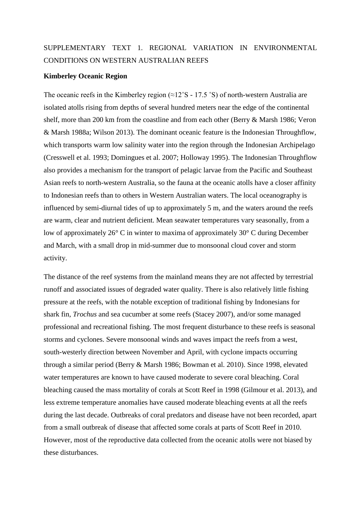# SUPPLEMENTARY TEXT 1. REGIONAL VARIATION IN ENVIRONMENTAL CONDITIONS ON WESTERN AUSTRALIAN REEFS

# **Kimberley Oceanic Region**

The oceanic reefs in the Kimberley region  $(\approx 12^{\circ}S - 17.5^{\circ}S)$  of north-western Australia are isolated atolls rising from depths of several hundred meters near the edge of the continental shelf, more than 200 km from the coastline and from each other (Berry & Marsh 1986; Veron & Marsh 1988a; Wilson 2013). The dominant oceanic feature is the Indonesian Throughflow, which transports warm low salinity water into the region through the Indonesian Archipelago (Cresswell et al. 1993; Domingues et al. 2007; Holloway 1995). The Indonesian Throughflow also provides a mechanism for the transport of pelagic larvae from the Pacific and Southeast Asian reefs to north-western Australia, so the fauna at the oceanic atolls have a closer affinity to Indonesian reefs than to others in Western Australian waters. The local oceanography is influenced by semi-diurnal tides of up to approximately 5 m, and the waters around the reefs are warm, clear and nutrient deficient. Mean seawater temperatures vary seasonally, from a low of approximately 26° C in winter to maxima of approximately 30° C during December and March, with a small drop in mid-summer due to monsoonal cloud cover and storm activity.

The distance of the reef systems from the mainland means they are not affected by terrestrial runoff and associated issues of degraded water quality. There is also relatively little fishing pressure at the reefs, with the notable exception of traditional fishing by Indonesians for shark fin, *Trochus* and sea cucumber at some reefs (Stacey 2007), and/or some managed professional and recreational fishing. The most frequent disturbance to these reefs is seasonal storms and cyclones. Severe monsoonal winds and waves impact the reefs from a west, south-westerly direction between November and April, with cyclone impacts occurring through a similar period (Berry & Marsh 1986; Bowman et al. 2010). Since 1998, elevated water temperatures are known to have caused moderate to severe coral bleaching. Coral bleaching caused the mass mortality of corals at Scott Reef in 1998 (Gilmour et al. 2013), and less extreme temperature anomalies have caused moderate bleaching events at all the reefs during the last decade. Outbreaks of coral predators and disease have not been recorded, apart from a small outbreak of disease that affected some corals at parts of Scott Reef in 2010. However, most of the reproductive data collected from the oceanic atolls were not biased by these disturbances.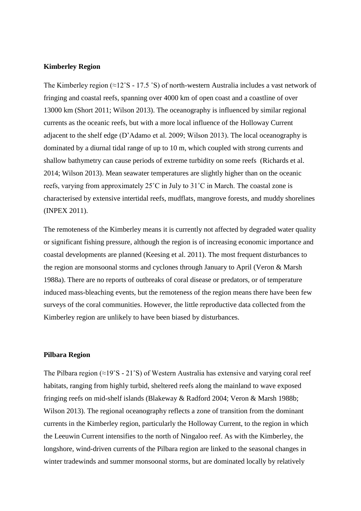## **Kimberley Region**

The Kimberley region (≈12˚S - 17.5 ˚S) of north-western Australia includes a vast network of fringing and coastal reefs, spanning over 4000 km of open coast and a coastline of over 13000 km (Short 2011; Wilson 2013). The oceanography is influenced by similar regional currents as the oceanic reefs, but with a more local influence of the Holloway Current adjacent to the shelf edge (D'Adamo et al. 2009; Wilson 2013). The local oceanography is dominated by a diurnal tidal range of up to 10 m, which coupled with strong currents and shallow bathymetry can cause periods of extreme turbidity on some reefs (Richards et al. 2014; Wilson 2013). Mean seawater temperatures are slightly higher than on the oceanic reefs, varying from approximately 25˚C in July to 31˚C in March. The coastal zone is characterised by extensive intertidal reefs, mudflats, mangrove forests, and muddy shorelines (INPEX 2011).

The remoteness of the Kimberley means it is currently not affected by degraded water quality or significant fishing pressure, although the region is of increasing economic importance and coastal developments are planned (Keesing et al. 2011). The most frequent disturbances to the region are monsoonal storms and cyclones through January to April (Veron & Marsh 1988a). There are no reports of outbreaks of coral disease or predators, or of temperature induced mass-bleaching events, but the remoteness of the region means there have been few surveys of the coral communities. However, the little reproductive data collected from the Kimberley region are unlikely to have been biased by disturbances.

# **Pilbara Region**

The Pilbara region (≈19˚S - 21˚S) of Western Australia has extensive and varying coral reef habitats, ranging from highly turbid, sheltered reefs along the mainland to wave exposed fringing reefs on mid-shelf islands (Blakeway & Radford 2004; Veron & Marsh 1988b; Wilson 2013). The regional oceanography reflects a zone of transition from the dominant currents in the Kimberley region, particularly the Holloway Current, to the region in which the Leeuwin Current intensifies to the north of Ningaloo reef. As with the Kimberley, the longshore, wind-driven currents of the Pilbara region are linked to the seasonal changes in winter tradewinds and summer monsoonal storms, but are dominated locally by relatively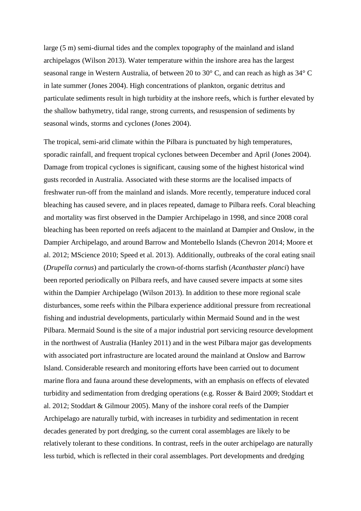large (5 m) semi-diurnal tides and the complex topography of the mainland and island archipelagos (Wilson 2013). Water temperature within the inshore area has the largest seasonal range in Western Australia, of between 20 to 30° C, and can reach as high as 34° C in late summer (Jones 2004). High concentrations of plankton, organic detritus and particulate sediments result in high turbidity at the inshore reefs, which is further elevated by the shallow bathymetry, tidal range, strong currents, and resuspension of sediments by seasonal winds, storms and cyclones (Jones 2004).

The tropical, semi-arid climate within the Pilbara is punctuated by high temperatures, sporadic rainfall, and frequent tropical cyclones between December and April (Jones 2004). Damage from tropical cyclones is significant, causing some of the highest historical wind gusts recorded in Australia. Associated with these storms are the localised impacts of freshwater run-off from the mainland and islands. More recently, temperature induced coral bleaching has caused severe, and in places repeated, damage to Pilbara reefs. Coral bleaching and mortality was first observed in the Dampier Archipelago in 1998, and since 2008 coral bleaching has been reported on reefs adjacent to the mainland at Dampier and Onslow, in the Dampier Archipelago, and around Barrow and Montebello Islands (Chevron 2014; Moore et al. 2012; MScience 2010; Speed et al. 2013). Additionally, outbreaks of the coral eating snail (*Drupella cornus*) and particularly the crown-of-thorns starfish (*Acanthaster planci*) have been reported periodically on Pilbara reefs, and have caused severe impacts at some sites within the Dampier Archipelago (Wilson 2013). In addition to these more regional scale disturbances, some reefs within the Pilbara experience additional pressure from recreational fishing and industrial developments, particularly within Mermaid Sound and in the west Pilbara. Mermaid Sound is the site of a major industrial port servicing resource development in the northwest of Australia (Hanley 2011) and in the west Pilbara major gas developments with associated port infrastructure are located around the mainland at Onslow and Barrow Island. Considerable research and monitoring efforts have been carried out to document marine flora and fauna around these developments, with an emphasis on effects of elevated turbidity and sedimentation from dredging operations (e.g. Rosser & Baird 2009; Stoddart et al. 2012; Stoddart & Gilmour 2005). Many of the inshore coral reefs of the Dampier Archipelago are naturally turbid, with increases in turbidity and sedimentation in recent decades generated by port dredging, so the current coral assemblages are likely to be relatively tolerant to these conditions. In contrast, reefs in the outer archipelago are naturally less turbid, which is reflected in their coral assemblages. Port developments and dredging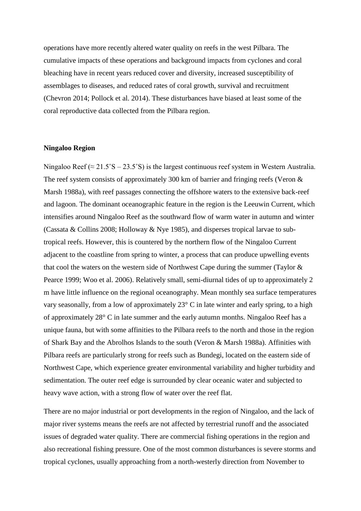operations have more recently altered water quality on reefs in the west Pilbara. The cumulative impacts of these operations and background impacts from cyclones and coral bleaching have in recent years reduced cover and diversity, increased susceptibility of assemblages to diseases, and reduced rates of coral growth, survival and recruitment (Chevron 2014; Pollock et al. 2014). These disturbances have biased at least some of the coral reproductive data collected from the Pilbara region.

#### **Ningaloo Region**

Ningaloo Reef ( $\approx 21.5^{\circ}$ S – 23.5°S) is the largest continuous reef system in Western Australia. The reef system consists of approximately 300 km of barrier and fringing reefs (Veron & Marsh 1988a), with reef passages connecting the offshore waters to the extensive back-reef and lagoon. The dominant oceanographic feature in the region is the Leeuwin Current, which intensifies around Ningaloo Reef as the southward flow of warm water in autumn and winter (Cassata & Collins 2008; Holloway & Nye 1985), and disperses tropical larvae to subtropical reefs. However, this is countered by the northern flow of the Ningaloo Current adjacent to the coastline from spring to winter, a process that can produce upwelling events that cool the waters on the western side of Northwest Cape during the summer (Taylor & Pearce 1999; Woo et al. 2006). Relatively small, semi-diurnal tides of up to approximately 2 m have little influence on the regional oceanography. Mean monthly sea surface temperatures vary seasonally, from a low of approximately 23° C in late winter and early spring, to a high of approximately 28° C in late summer and the early autumn months. Ningaloo Reef has a unique fauna, but with some affinities to the Pilbara reefs to the north and those in the region of Shark Bay and the Abrolhos Islands to the south (Veron & Marsh 1988a). Affinities with Pilbara reefs are particularly strong for reefs such as Bundegi, located on the eastern side of Northwest Cape, which experience greater environmental variability and higher turbidity and sedimentation. The outer reef edge is surrounded by clear oceanic water and subjected to heavy wave action, with a strong flow of water over the reef flat.

There are no major industrial or port developments in the region of Ningaloo, and the lack of major river systems means the reefs are not affected by terrestrial runoff and the associated issues of degraded water quality. There are commercial fishing operations in the region and also recreational fishing pressure. One of the most common disturbances is severe storms and tropical cyclones, usually approaching from a north-westerly direction from November to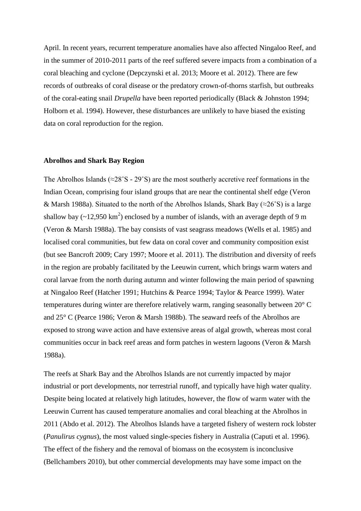April. In recent years, recurrent temperature anomalies have also affected Ningaloo Reef, and in the summer of 2010-2011 parts of the reef suffered severe impacts from a combination of a coral bleaching and cyclone (Depczynski et al. 2013; Moore et al. 2012). There are few records of outbreaks of coral disease or the predatory crown-of-thorns starfish, but outbreaks of the coral-eating snail *Drupella* have been reported periodically (Black & Johnston 1994; Holborn et al. 1994). However, these disturbances are unlikely to have biased the existing data on coral reproduction for the region.

### **Abrolhos and Shark Bay Region**

The Abrolhos Islands ( $\approx$ 28°S - 29°S) are the most southerly accretive reef formations in the Indian Ocean, comprising four island groups that are near the continental shelf edge (Veron & Marsh 1988a). Situated to the north of the Abrolhos Islands, Shark Bay ( $\approx$ 26°S) is a large shallow bay  $(\sim 12,950 \text{ km}^2)$  enclosed by a number of islands, with an average depth of 9 m (Veron & Marsh 1988a). The bay consists of vast seagrass meadows (Wells et al. 1985) and localised coral communities, but few data on coral cover and community composition exist (but see Bancroft 2009; Cary 1997; Moore et al. 2011). The distribution and diversity of reefs in the region are probably facilitated by the Leeuwin current, which brings warm waters and coral larvae from the north during autumn and winter following the main period of spawning at Ningaloo Reef (Hatcher 1991; Hutchins & Pearce 1994; Taylor & Pearce 1999). Water temperatures during winter are therefore relatively warm, ranging seasonally between 20° C and 25° C (Pearce 1986; Veron & Marsh 1988b). The seaward reefs of the Abrolhos are exposed to strong wave action and have extensive areas of algal growth, whereas most coral communities occur in back reef areas and form patches in western lagoons (Veron & Marsh 1988a).

The reefs at Shark Bay and the Abrolhos Islands are not currently impacted by major industrial or port developments, nor terrestrial runoff, and typically have high water quality. Despite being located at relatively high latitudes, however, the flow of warm water with the Leeuwin Current has caused temperature anomalies and coral bleaching at the Abrolhos in 2011 (Abdo et al. 2012). The Abrolhos Islands have a targeted fishery of western rock lobster (*Panulirus cygnus*), the most valued single-species fishery in Australia (Caputi et al. 1996). The effect of the fishery and the removal of biomass on the ecosystem is inconclusive (Bellchambers 2010), but other commercial developments may have some impact on the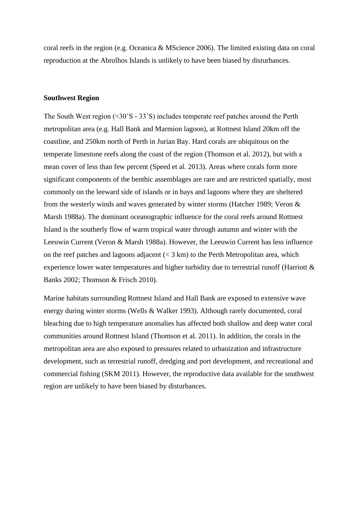coral reefs in the region (e.g. Oceanica & MScience 2006). The limited existing data on coral reproduction at the Abrolhos Islands is unlikely to have been biased by disturbances.

## **Southwest Region**

The South West region (≈30˚S - 33˚S) includes temperate reef patches around the Perth metropolitan area (e.g. Hall Bank and Marmion lagoon), at Rottnest Island 20km off the coastline, and 250km north of Perth in Jurian Bay. Hard corals are ubiquitous on the temperate limestone reefs along the coast of the region (Thomson et al. 2012), but with a mean cover of less than few percent (Speed et al. 2013). Areas where corals form more significant components of the benthic assemblages are rare and are restricted spatially, most commonly on the leeward side of islands or in bays and lagoons where they are sheltered from the westerly winds and waves generated by winter storms (Hatcher 1989; Veron & Marsh 1988a). The dominant oceanographic influence for the coral reefs around Rottnest Island is the southerly flow of warm tropical water through autumn and winter with the Leeuwin Current (Veron & Marsh 1988a). However, the Leeuwin Current has less influence on the reef patches and lagoons adjacent  $(< 3 \text{ km})$  to the Perth Metropolitan area, which experience lower water temperatures and higher turbidity due to terrestrial runoff (Harriott & Banks 2002; Thomson & Frisch 2010).

Marine habitats surrounding Rottnest Island and Hall Bank are exposed to extensive wave energy during winter storms (Wells & Walker 1993). Although rarely documented, coral bleaching due to high temperature anomalies has affected both shallow and deep water coral communities around Rottnest Island (Thomson et al. 2011). In addition, the corals in the metropolitan area are also exposed to pressures related to urbanization and infrastructure development, such as terrestrial runoff, dredging and port development, and recreational and commercial fishing (SKM 2011). However, the reproductive data available for the southwest region are unlikely to have been biased by disturbances.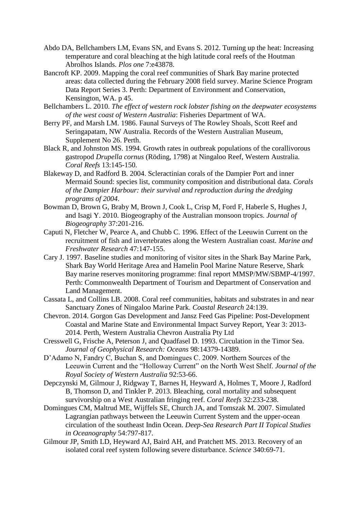- Abdo DA, Bellchambers LM, Evans SN, and Evans S. 2012. Turning up the heat: Increasing temperature and coral bleaching at the high latitude coral reefs of the Houtman Abrolhos Islands. *Plos one* 7:e43878.
- Bancroft KP. 2009. Mapping the coral reef communities of Shark Bay marine protected areas: data collected during the February 2008 field survey. Marine Science Program Data Report Series 3. Perth: Department of Environment and Conservation, Kensington, WA. p 45.
- Bellchambers L. 2010. *The effect of western rock lobster fishing on the deepwater ecosystems of the west coast of Western Australia*: Fisheries Department of WA.
- Berry PF, and Marsh LM. 1986. Faunal Surveys of The Rowley Shoals, Scott Reef and Seringapatam, NW Australia. Records of the Western Australian Museum, Supplement No 26. Perth.
- Black R, and Johnston MS. 1994. Growth rates in outbreak populations of the corallivorous gastropod *Drupella cornus* (Röding, 1798) at Ningaloo Reef, Western Australia. *Coral Reefs* 13:145-150.
- Blakeway D, and Radford B. 2004. Scleractinian corals of the Dampier Port and inner Mermaid Sound: species list, community composition and distributional data. *Corals of the Dampier Harbour: their survival and reproduction during the dredging programs of 2004*.
- Bowman D, Brown G, Braby M, Brown J, Cook L, Crisp M, Ford F, Haberle S, Hughes J, and Isagi Y. 2010. Biogeography of the Australian monsoon tropics. *Journal of Biogeography* 37:201-216.
- Caputi N, Fletcher W, Pearce A, and Chubb C. 1996. Effect of the Leeuwin Current on the recruitment of fish and invertebrates along the Western Australian coast. *Marine and Freshwater Research* 47:147-155.
- Cary J. 1997. Baseline studies and monitoring of visitor sites in the Shark Bay Marine Park, Shark Bay World Heritage Area and Hamelin Pool Marine Nature Reserve, Shark Bay marine reserves monitoring programme: final report MMSP/MW/SBMP-4/1997. Perth: Commonwealth Department of Tourism and Department of Conservation and Land Management.
- Cassata L, and Collins LB. 2008. Coral reef communities, habitats and substrates in and near Sanctuary Zones of Ningaloo Marine Park. *Coastal Research* 24:139.
- Chevron. 2014. Gorgon Gas Development and Jansz Feed Gas Pipeline: Post-Development Coastal and Marine State and Environmental Impact Survey Report, Year 3: 2013- 2014. Perth, Western Australia Chevron Australia Pty Ltd
- Cresswell G, Frische A, Peterson J, and Quadfasel D. 1993. Circulation in the Timor Sea. *Journal of Geophysical Research: Oceans* 98:14379-14389.
- D'Adamo N, Fandry C, Buchan S, and Domingues C. 2009. Northern Sources of the Leeuwin Current and the "Holloway Current" on the North West Shelf. *Journal of the Royal Society of Western Australia* 92:53-66.
- Depczynski M, Gilmour J, Ridgway T, Barnes H, Heyward A, Holmes T, Moore J, Radford B, Thomson D, and Tinkler P. 2013. Bleaching, coral mortality and subsequent survivorship on a West Australian fringing reef. *Coral Reefs* 32:233-238.
- Domingues CM, Maltrud ME, Wijffels SE, Church JA, and Tomszak M. 2007. Simulated Lagrangian pathways between the Leeuwin Current System and the upper-ocean circulation of the southeast Indin Ocean. *Deep-Sea Research Part II Topical Studies in Oceanography* 54:797-817.
- Gilmour JP, Smith LD, Heyward AJ, Baird AH, and Pratchett MS. 2013. Recovery of an isolated coral reef system following severe disturbance. *Science* 340:69-71.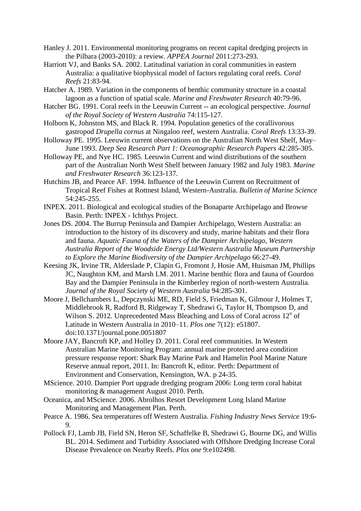- Hanley J. 2011. Environmental monitoring programs on recent capital dredging projects in the Pilbara (2003-2010): a review. *APPEA Journal* 2011:273-293.
- Harriott VJ, and Banks SA. 2002. Latitudinal variation in coral communities in eastern Australia: a qualitative biophysical model of factors regulating coral reefs. *Coral Reefs* 21:83-94.
- Hatcher A. 1989. Variation in the components of benthic community structure in a coastal lagoon as a function of spatial scale. *Marine and Freshwater Research* 40:79-96.
- Hatcher BG. 1991. Coral reefs in the Leeuwin Current -- an ecological perspective. *Journal of the Royal Society of Western Australia* 74:115-127.
- Holborn K, Johnston MS, and Black R. 1994. Population genetics of the corallivorous gastropod *Drupella cornus* at Ningaloo reef, western Australia. *Coral Reefs* 13:33-39.
- Holloway PE. 1995. Leeuwin current observations on the Australian North West Shelf, May– June 1993. *Deep Sea Research Part 1: Oceanographic Research Papers* 42:285-305.
- Holloway PE, and Nye HC. 1985. Leeuwin Current and wind distributions of the southern part of the Australian North West Shelf between January 1982 and July 1983. *Marine and Freshwater Research* 36:123-137.
- Hutchins JB, and Pearce AF. 1994. Influence of the Leeuwin Current on Recruitment of Tropical Reef Fishes at Rottnest Island, Western-Australia. *Bulletin of Marine Science* 54:245-255.
- INPEX. 2011. Biological and ecological studies of the Bonaparte Archipelago and Browse Basin. Perth: INPEX - Ichthys Project.
- Jones DS. 2004. The Burrup Peninsula and Dampier Archipelago, Western Australia: an introduction to the history of its discovery and study, marine habitats and their flora and fauna. *Aquatic Fauna of the Waters of the Dampier Archipelago, Western Australia Report of the Woodside Energy Ltd/Western Australia Museum Partnership to Explore the Marine Biodiversity of the Dampier Archipelago* 66:27-49.
- Keesing JK, Irvine TR, Alderslade P, Clapin G, Fromont J, Hosie AM, Huisman JM, Phillips JC, Naughton KM, and Marsh LM. 2011. Marine benthic flora and fauna of Gourdon Bay and the Dampier Peninsula in the Kimberley region of north-western Australia. *Journal of the Royal Society of Western Australia* 94:285-301.
- Moore J, Bellchambers L, Depczynski ME, RD, Field S, Friedman K, Gilmour J, Holmes T, Middlebrook R, Radford B, Ridgeway T, Shedrawi G, Taylor H, Thompson D, and Wilson S. 2012. Unprecedented Mass Bleaching and Loss of Coral across 12° of Latitude in Western Australia in 2010–11. *Plos one* 7(12): e51807. doi:10.1371/journal.pone.0051807
- Moore JAY, Bancroft KP, and Holley D. 2011. Coral reef communities. In Western Australian Marine Monitoring Program: annual marine protected area condition pressure response report: Shark Bay Marine Park and Hamelin Pool Marine Nature Reserve annual report, 2011. In: Bancroft K, editor. Perth: Department of Environment and Conservation, Kensington, WA. p 24-35.
- MScience. 2010. Dampier Port upgrade dredging program 2006: Long term coral habitat monitoring & management August 2010. Perth.
- Oceanica, and MScience. 2006. Abrolhos Resort Development Long Island Marine Monitoring and Management Plan. Perth.
- Pearce A. 1986. Sea temperatures off Western Australia. *Fishing Industry News Service* 19:6- 9.
- Pollock FJ, Lamb JB, Field SN, Heron SF, Schaffelke B, Shedrawi G, Bourne DG, and Willis BL. 2014. Sediment and Turbidity Associated with Offshore Dredging Increase Coral Disease Prevalence on Nearby Reefs. *Plos one* 9:e102498.